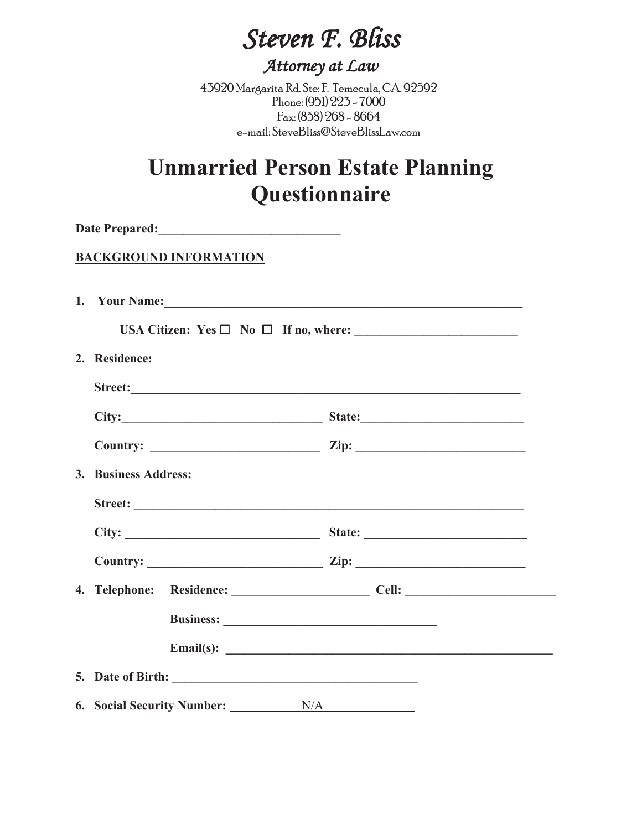# *Steven F. Bliss*

### *Attorney at Law*

43920 Margarita Rd. Ste: F. Temecula, CA. 92592 Phone: (951) 223 - 7000 Fax: (858) 268 - 8664 e-mail: SteveBliss@SteveBlissLaw.com

## **Unmarried Person Estate Planning Questionnaire**

| <b>BACKGROUND INFORMATION</b>         |                                             |
|---------------------------------------|---------------------------------------------|
|                                       |                                             |
|                                       |                                             |
| 2. Residence:                         |                                             |
|                                       |                                             |
|                                       | City: State:                                |
|                                       | Country: $\qquad \qquad \qquad \text{Zip:}$ |
| 3. Business Address:                  |                                             |
|                                       |                                             |
|                                       |                                             |
|                                       | Country: $\qquad \qquad \qquad \text{Zip:}$ |
|                                       |                                             |
|                                       |                                             |
|                                       | Email(s): $\qquad \qquad$                   |
|                                       |                                             |
| 6. Social Security Number: __________ | N/A                                         |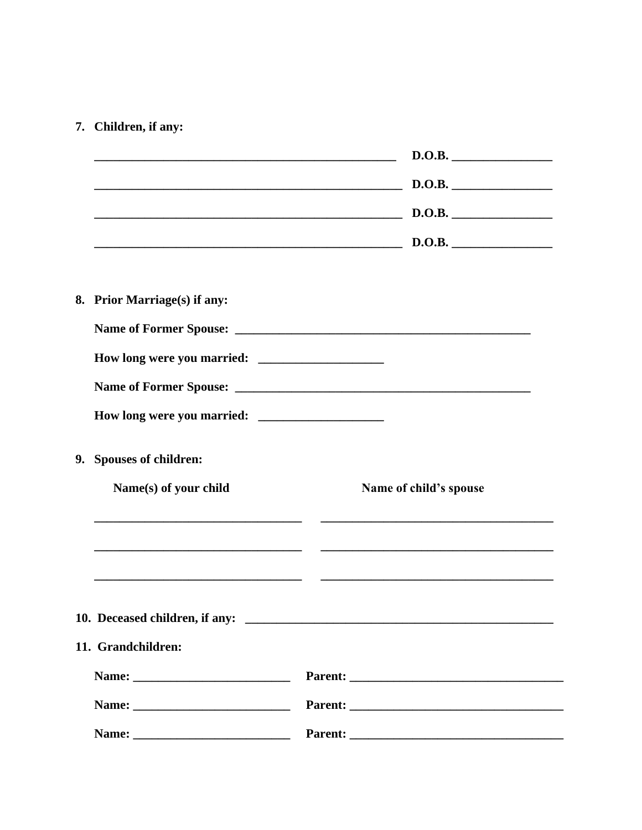### 7. Children, if any:

|                                |       | D.O.B.                                                                                                                                                                                                                         |
|--------------------------------|-------|--------------------------------------------------------------------------------------------------------------------------------------------------------------------------------------------------------------------------------|
|                                |       | D.O.B.                                                                                                                                                                                                                         |
|                                |       | D.O.B.                                                                                                                                                                                                                         |
|                                |       | $\sim$ D.O.B.                                                                                                                                                                                                                  |
| 8. Prior Marriage(s) if any:   |       |                                                                                                                                                                                                                                |
|                                |       |                                                                                                                                                                                                                                |
|                                |       |                                                                                                                                                                                                                                |
|                                |       |                                                                                                                                                                                                                                |
|                                |       |                                                                                                                                                                                                                                |
| 9. Spouses of children:        |       |                                                                                                                                                                                                                                |
| Name(s) of your child          |       | Name of child's spouse                                                                                                                                                                                                         |
|                                |       | <u> 1989 - Andrea Stadt Britain, amerikansk politiker (</u>                                                                                                                                                                    |
|                                |       |                                                                                                                                                                                                                                |
| 10. Deceased children, if any: |       |                                                                                                                                                                                                                                |
| 11. Grandchildren:             |       |                                                                                                                                                                                                                                |
|                                |       |                                                                                                                                                                                                                                |
|                                |       |                                                                                                                                                                                                                                |
|                                | Name: | Parent: and the contract of the contract of the contract of the contract of the contract of the contract of the contract of the contract of the contract of the contract of the contract of the contract of the contract of th |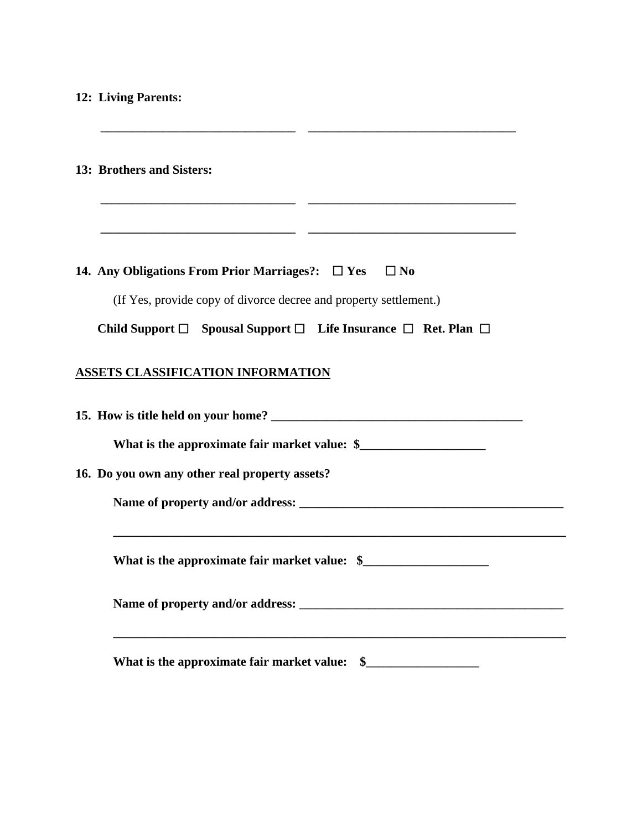#### **12: Living Parents:**

| 13: Brothers and Sisters:<br><u>en de la companya de la companya de la companya de la companya de la companya de la companya de la compa</u> |
|----------------------------------------------------------------------------------------------------------------------------------------------|
|                                                                                                                                              |
| 14. Any Obligations From Prior Marriages?: $\Box$ Yes<br>$\Box$ No                                                                           |
| (If Yes, provide copy of divorce decree and property settlement.)                                                                            |
| Child Support $\Box$ Spousal Support $\Box$ Life Insurance $\Box$ Ret. Plan $\Box$                                                           |
| <b>ASSETS CLASSIFICATION INFORMATION</b>                                                                                                     |
| What is the approximate fair market value: \$                                                                                                |
| 16. Do you own any other real property assets?                                                                                               |
|                                                                                                                                              |
|                                                                                                                                              |
|                                                                                                                                              |
|                                                                                                                                              |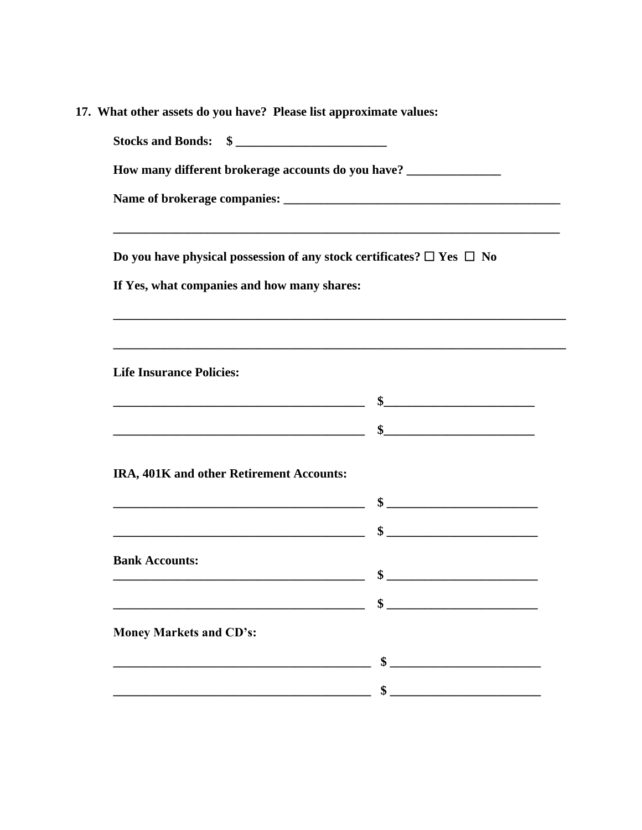| 17. What other assets do you have? Please list approximate values: |  |
|--------------------------------------------------------------------|--|
|                                                                    |  |

| Stocks and Bonds: \$                                                                                                  |        |
|-----------------------------------------------------------------------------------------------------------------------|--------|
| How many different brokerage accounts do you have? ______________________________                                     |        |
|                                                                                                                       |        |
|                                                                                                                       |        |
| Do you have physical possession of any stock certificates? $\Box$ Yes $\Box$ No                                       |        |
| If Yes, what companies and how many shares:                                                                           |        |
| ,我们也不会有什么。""我们的人,我们也不会有什么?""我们的人,我们也不会有什么?""我们的人,我们的人,我们也不会有什么?""我们的人,我们的人,我们的人,我                                     |        |
| ,我们也不能在这里的时候,我们也不能在这里的时候,我们也不能会在这里的时候,我们也不能会在这里的时候,我们也不能会在这里的时候,我们也不能会在这里的时候,我们也不                                     |        |
| <b>Life Insurance Policies:</b>                                                                                       |        |
|                                                                                                                       |        |
|                                                                                                                       |        |
| IRA, 401K and other Retirement Accounts:                                                                              |        |
| <u>s se a seu estadounidense o seu estadounidense o seu estadounidense o seu estadounidense o seu estadounidense </u> |        |
|                                                                                                                       |        |
|                                                                                                                       |        |
| <b>Bank Accounts:</b>                                                                                                 | $\sim$ |
|                                                                                                                       |        |
| <b>Money Markets and CD's:</b>                                                                                        |        |
|                                                                                                                       | \$     |
|                                                                                                                       | \$     |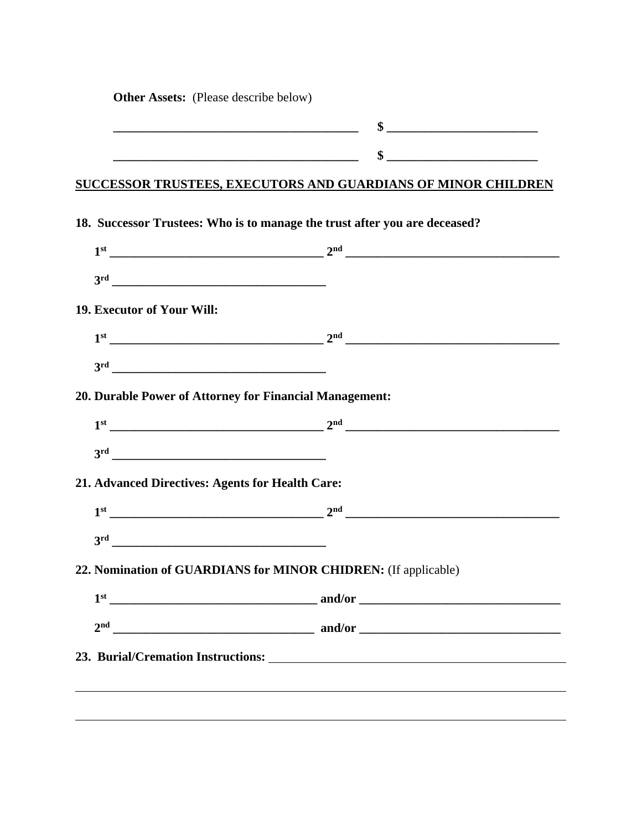**Other Assets:** (Please describe below)

#### **SUCCESSOR TRUSTEES, EXECUTORS AND GUARDIANS OF MINOR CHILDREN**

| 19. Executor of Your Will:<br>20. Durable Power of Attorney for Financial Management:<br>$1st$ 2 <sup>nd</sup> 2 <sup>nd</sup> 2 <sup>nd</sup> 2 <sup>nd</sup> 2 <sup>nd</sup> 2 <sup>nd</sup> 2 <sup>nd</sup> 2 <sup>nd</sup> 2 <sup>nd</sup> 2 <sup>nd</sup> 2 <sup>nd</sup> 2 <sup>nd</sup> 2 <sup>nd</sup> 2 <sup>nd</sup> 2 <sup>nd</sup> 2 <sup>nd</sup> 2 <sup>nd</sup> 2 <sup>nd</sup> 2 <sup>nd</sup> 2 <sup>nd</sup> 2 <sup>nd</sup> 2 <sup>nd</sup> 2 <sup>nd</sup> 2 <sup>nd</sup> 2 <sup>nd</sup> 2 <sup>nd</sup> 2 <sup>nd</sup> 2 <sup>nd</sup> 2 <sup>nd</sup> 2 <sup>nd</sup> 2 <sup>nd</sup> 2 <sup>nd</sup> 2 <sup>nd</sup> 2 <sup>nd</sup> 2 <sup>nd</sup><br>3 <sup>rd</sup> |  |
|---------------------------------------------------------------------------------------------------------------------------------------------------------------------------------------------------------------------------------------------------------------------------------------------------------------------------------------------------------------------------------------------------------------------------------------------------------------------------------------------------------------------------------------------------------------------------------------------------------------------------------------------------------------------------------------------------|--|
|                                                                                                                                                                                                                                                                                                                                                                                                                                                                                                                                                                                                                                                                                                   |  |
|                                                                                                                                                                                                                                                                                                                                                                                                                                                                                                                                                                                                                                                                                                   |  |
|                                                                                                                                                                                                                                                                                                                                                                                                                                                                                                                                                                                                                                                                                                   |  |
|                                                                                                                                                                                                                                                                                                                                                                                                                                                                                                                                                                                                                                                                                                   |  |
| 21. Advanced Directives: Agents for Health Care:<br>22. Nomination of GUARDIANS for MINOR CHIDREN: (If applicable)                                                                                                                                                                                                                                                                                                                                                                                                                                                                                                                                                                                |  |
|                                                                                                                                                                                                                                                                                                                                                                                                                                                                                                                                                                                                                                                                                                   |  |
|                                                                                                                                                                                                                                                                                                                                                                                                                                                                                                                                                                                                                                                                                                   |  |
|                                                                                                                                                                                                                                                                                                                                                                                                                                                                                                                                                                                                                                                                                                   |  |
|                                                                                                                                                                                                                                                                                                                                                                                                                                                                                                                                                                                                                                                                                                   |  |
|                                                                                                                                                                                                                                                                                                                                                                                                                                                                                                                                                                                                                                                                                                   |  |
|                                                                                                                                                                                                                                                                                                                                                                                                                                                                                                                                                                                                                                                                                                   |  |
|                                                                                                                                                                                                                                                                                                                                                                                                                                                                                                                                                                                                                                                                                                   |  |
|                                                                                                                                                                                                                                                                                                                                                                                                                                                                                                                                                                                                                                                                                                   |  |
|                                                                                                                                                                                                                                                                                                                                                                                                                                                                                                                                                                                                                                                                                                   |  |